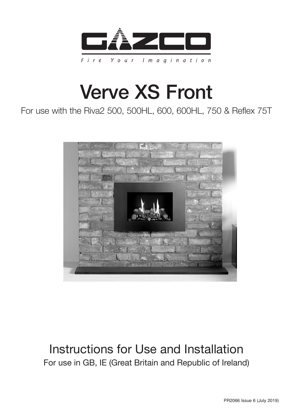

# Verve XS Front

### For use with the Riva2 500, 500HL, 600, 600HL, 750 & Reflex 75T



### Instructions for Use and Installation For use in GB, IE (Great Britain and Republic of Ireland)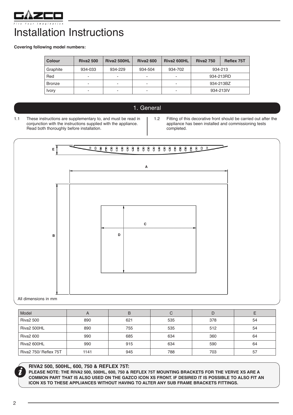

## Installation Instructions

**Covering following model numbers:** 

| <b>Colour</b> | <b>Riva2 500</b> | <b>Riva2 500HL</b> | <b>Riva2 600</b>         | <b>Riva2 600HL</b>       | <b>Riva2 750</b> | <b>Reflex 75T</b> |
|---------------|------------------|--------------------|--------------------------|--------------------------|------------------|-------------------|
| Graphite      | 934-033          | 934-229            | 934-504                  | 934-702                  | 934-213          |                   |
| Red           | -                | ۰                  | $\overline{\phantom{a}}$ | $\overline{\phantom{a}}$ | 934-213RD        |                   |
| <b>Bronze</b> | -                |                    | ۰                        | $\overline{\phantom{a}}$ | 934-213BZ        |                   |
| <b>Ivory</b>  | -                | ۰                  | $\overline{\phantom{a}}$ | $\overline{\phantom{a}}$ | 934-213IV        |                   |

- 1. General
- 1.1 These instructions are supplementary to, and must be read in conjunction with the instructions supplied with the appliance. Read both thoroughly before installation.
- 1.2 Fitting of this decorative front should be carried out after the appliance has been installed and commissioning tests completed.



| Model                 | n    | В   | С   | D   |    |
|-----------------------|------|-----|-----|-----|----|
| <b>Riva2 500</b>      | 890  | 621 | 535 | 378 | 54 |
| Riva2 500HL           | 890  | 755 | 535 | 512 | 54 |
| <b>Riva2 600</b>      | 990  | 685 | 634 | 360 | 64 |
| Riva2 600HL           | 990  | 915 | 634 | 590 | 64 |
| Riva2 750/ Reflex 75T | 1141 | 945 | 788 | 703 | 57 |



#### **RIVA2 500, 500HL, 600, 750 & REFLEX 75T:**

**PLEASE NOTE: THE RIVA2 500, 500HL, 600, 750 & REFLEX 75T MOUNTING BRACKETS FOR THE VERVE XS ARE A COMMON PART THAT IS ALSO USED ON THE GAZCO ICON XS FRONT. IF DESIRED IT IS POSSIBLE TO ALSO FIT AN ICON XS TO THESE APPLIANCES WITHOUT HAVING TO ALTER ANY SUB FRAME BRACKETS FITTINGS.**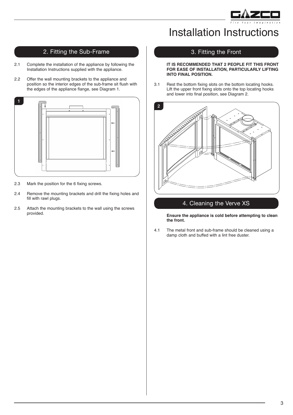

### Installation Instructions

### 2. Fitting the Sub-Frame

- 2.1 Complete the installation of the appliance by following the Installation Instructions supplied with the appliance.
- 2.2 Offer the wall mounting brackets to the appliance and position so the interior edges of the sub-frame sit flush with the edges of the appliance flange, see Diagram 1.



- 2.3 Mark the position for the 6 fixing screws.
- 2.4 Remove the mounting brackets and drill the fixing holes and fill with rawl plugs.
- 2.5 Attach the mounting brackets to the wall using the screws provided.

#### 3. Fitting the Front

#### **IT IS RECOMMENDED THAT 2 PEOPLE FIT THIS FRONT FOR EASE OF INSTALLATION, PARTICULARLY LIFTING INTO FINAL POSITION.**

3.1 Rest the bottom fixing slots on the bottom locating hooks. Lift the upper front fixing slots onto the top locating hooks and lower into final position, see Diagram 2.



### 4. Cleaning the Verve XS

 **Ensure the appliance is cold before attempting to clean the front.**

4.1 The metal front and sub-frame should be cleaned using a damp cloth and buffed with a lint free duster.